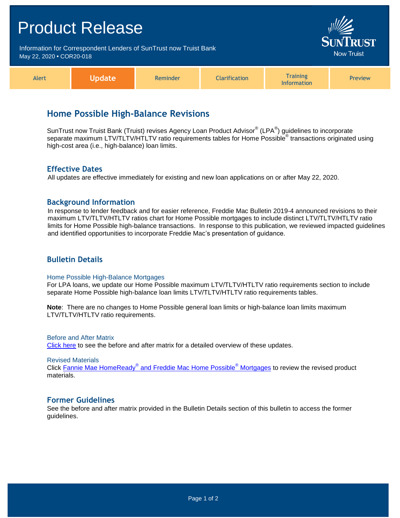## Product Release Information for Correspondent Lenders of SunTrust now Truist Bank Jow Truist May 22, 2020 **•** COR20-018 **Training** Alert **Update** Reminder **Clarification** Preview Information

# **Home Possible High-Balance Revisions**

SunTrust now Truist Bank (Truist) revises Agency Loan Product Advisor® (LPA®) guidelines to incorporate separate maximum LTV/TLTV/HTLTV ratio requirements tables for Home Possible<sup>®</sup> transactions originated using high-cost area (i.e., high-balance) loan limits.

#### **Effective Dates**

All updates are effective immediately for existing and new loan applications on or after May 22, 2020.

#### **Background Information**

In response to lender feedback and for easier reference, Freddie Mac Bulletin 2019-4 announced revisions to their maximum LTV/TLTV/HTLTV ratios chart for Home Possible mortgages to include distinct LTV/TLTV/HTLTV ratio limits for Home Possible high-balance transactions. In response to this publication, we reviewed impacted guidelines and identified opportunities to incorporate Freddie Mac's presentation of guidance.

### **Bulletin Details**

#### Home Possible High-Balance Mortgages

For LPA loans, we update our Home Possible maximum LTV/TLTV/HTLTV ratio requirements section to include separate Home Possible high-balance loan limits LTV/TLTV/HTLTV ratio requirements tables.

**Note**: There are no changes to Home Possible general loan limits or high-balance loan limits maximum LTV/TLTV/HTLTV ratio requirements.

Before and After Matrix [Click here](http://www.truistsellerguide.com/manual/cor/products/Cr20-018BA.pdf) to see the before and after matrix for a detailed overview of these updates.

Revised Materials

Click Fannie Mae HomeReady® [and Freddie Mac Home Possible](https://www.truistsellerguide.com/manual/cor/products/CHomeReadyandHomePossible.pdf)<sup>®</sup> Mortgages to review the revised product materials.

#### **Former Guidelines**

See the before and after matrix provided in the Bulletin Details section of this bulletin to access the former guidelines.